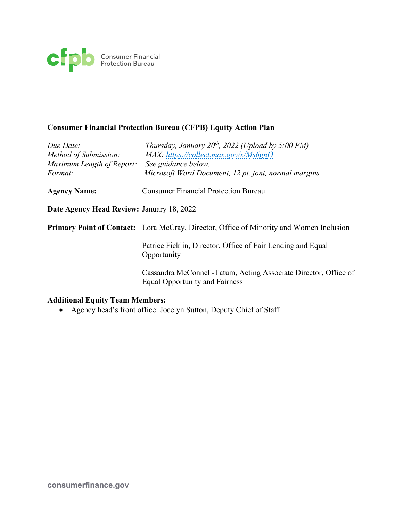

# **Consumer Financial Protection Bureau (CFPB) Equity Action Plan**

| Due Date:<br>Method of Submission:          | Thursday, January $20^{th}$ , 2022 (Upload by 5:00 PM)<br>$MAX: \hbar tps://collect.max.gov/x/Ms6gnO$    |
|---------------------------------------------|----------------------------------------------------------------------------------------------------------|
| Maximum Length of Report:<br><i>Format:</i> | See guidance below.<br>Microsoft Word Document, 12 pt. font, normal margins                              |
| <b>Agency Name:</b>                         | <b>Consumer Financial Protection Bureau</b>                                                              |
| Date Agency Head Review: January 18, 2022   |                                                                                                          |
|                                             | <b>Primary Point of Contact:</b> Lora McCray, Director, Office of Minority and Women Inclusion           |
|                                             | Patrice Ficklin, Director, Office of Fair Lending and Equal<br>Opportunity                               |
|                                             | Cassandra McConnell-Tatum, Acting Associate Director, Office of<br><b>Equal Opportunity and Fairness</b> |
|                                             |                                                                                                          |

## **Additional Equity Team Members:**

• Agency head's front office: Jocelyn Sutton, Deputy Chief of Staff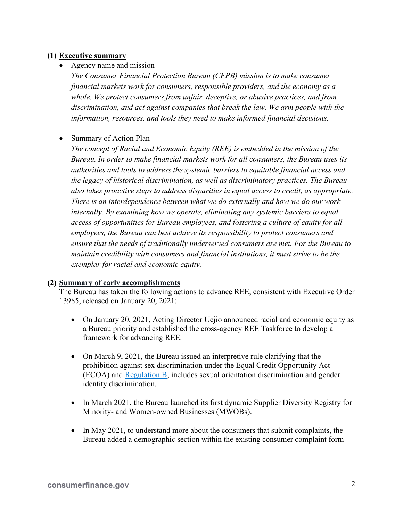## **(1) Executive summary**

• Agency name and mission

*The Consumer Financial Protection Bureau (CFPB) mission is to make consumer financial markets work for consumers, responsible providers, and the economy as a whole. We protect consumers from unfair, deceptive, or abusive practices, and from discrimination, and act against companies that break the law. We arm people with the information, resources, and tools they need to make informed financial decisions.* 

• Summary of Action Plan

*The concept of Racial and Economic Equity (REE) is embedded in the mission of the Bureau. In order to make financial markets work for all consumers, the Bureau uses its authorities and tools to address the systemic barriers to equitable financial access and the legacy of historical discrimination, as well as discriminatory practices. The Bureau also takes proactive steps to address disparities in equal access to credit, as appropriate. There is an interdependence between what we do externally and how we do our work internally. By examining how we operate, eliminating any systemic barriers to equal access of opportunities for Bureau employees, and fostering a culture of equity for all employees, the Bureau can best achieve its responsibility to protect consumers and ensure that the needs of traditionally underserved consumers are met. For the Bureau to maintain credibility with consumers and financial institutions, it must strive to be the exemplar for racial and economic equity.* 

### **(2) Summary of early accomplishments**

The Bureau has taken the following actions to advance REE, consistent with Executive Order 13985, released on January 20, 2021:

- On January 20, 2021, Acting Director Uejio announced racial and economic equity as a Bureau priority and established the cross-agency REE Taskforce to develop a framework for advancing REE.
- On March 9, 2021, the Bureau issued an interpretive rule clarifying that the prohibition against sex discrimination under the Equal Credit Opportunity Act (ECOA) and [Regulation B,](https://www.consumerfinance.gov/rules-policy/regulations/1002/) includes sexual orientation discrimination and gender identity discrimination.
- In March 2021, the Bureau launched its first dynamic Supplier Diversity Registry for Minority- and Women-owned Businesses (MWOBs).
- In May 2021, to understand more about the consumers that submit complaints, the Bureau added a demographic section within the existing consumer complaint form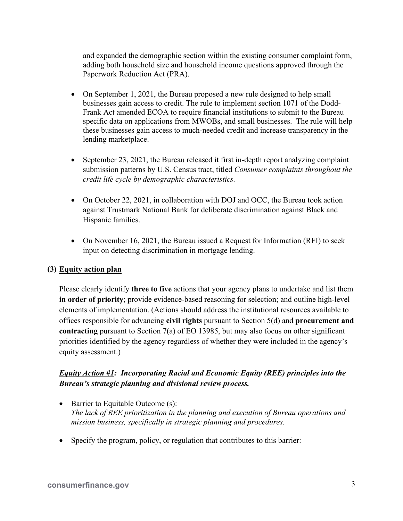and expanded the demographic section within the existing consumer complaint form, adding both household size and household income questions approved through the Paperwork Reduction Act (PRA).

- On September 1, 2021, the Bureau proposed a new rule designed to help small businesses gain access to credit. The rule to implement section 1071 of the Dodd-Frank Act amended ECOA to require financial institutions to submit to the Bureau specific data on applications from MWOBs, and small businesses. The rule will help these businesses gain access to much-needed credit and increase transparency in the lending marketplace.
- September 23, 2021, the Bureau released it first in-depth report analyzing complaint submission patterns by U.S. Census tract, titled *Consumer complaints throughout the credit life cycle by demographic characteristics.*
- On October 22, 2021, in collaboration with DOJ and OCC, the Bureau took action against Trustmark National Bank for deliberate discrimination against Black and Hispanic families.
- On November 16, 2021, the Bureau issued a Request for Information (RFI) to seek input on detecting discrimination in mortgage lending.

### **(3) Equity action plan**

Please clearly identify **three to five** actions that your agency plans to undertake and list them **in order of priority**; provide evidence-based reasoning for selection; and outline high-level elements of implementation. (Actions should address the institutional resources available to offices responsible for advancing **civil rights** pursuant to Section 5(d) and **procurement and contracting** pursuant to Section 7(a) of EO 13985, but may also focus on other significant priorities identified by the agency regardless of whether they were included in the agency's equity assessment.)

# *Equity Action #1: Incorporating Racial and Economic Equity (REE) principles into the Bureau's strategic planning and divisional review process.*

- Barrier to Equitable Outcome (s): *The lack of REE prioritization in the planning and execution of Bureau operations and mission business, specifically in strategic planning and procedures.*
- Specify the program, policy, or regulation that contributes to this barrier: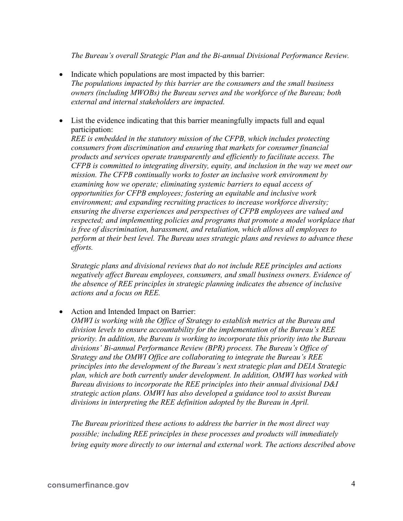*The Bureau's overall Strategic Plan and the Bi-annual Divisional Performance Review.* 

- Indicate which populations are most impacted by this barrier: *The populations impacted by this barrier are the consumers and the small business owners (including MWOBs) the Bureau serves and the workforce of the Bureau; both external and internal stakeholders are impacted.*
- List the evidence indicating that this barrier meaningfully impacts full and equal participation:

*REE is embedded in the statutory mission of the CFPB, which includes protecting consumers from discrimination and ensuring that markets for consumer financial products and services operate transparently and efficiently to facilitate access. The CFPB is committed to integrating diversity, equity, and inclusion in the way we meet our mission. The CFPB continually works to foster an inclusive work environment by examining how we operate; eliminating systemic barriers to equal access of opportunities for CFPB employees; fostering an equitable and inclusive work environment; and expanding recruiting practices to increase workforce diversity; ensuring the diverse experiences and perspectives of CFPB employees are valued and respected; and implementing policies and programs that promote a model workplace that is free of discrimination, harassment, and retaliation, which allows all employees to perform at their best level. The Bureau uses strategic plans and reviews to advance these efforts.*

*Strategic plans and divisional reviews that do not include REE principles and actions negatively affect Bureau employees, consumers, and small business owners. Evidence of the absence of REE principles in strategic planning indicates the absence of inclusive actions and a focus on REE.* 

### • Action and Intended Impact on Barrier:

*OMWI is working with the Office of Strategy to establish metrics at the Bureau and division levels to ensure accountability for the implementation of the Bureau's REE priority. In addition, the Bureau is working to incorporate this priority into the Bureau divisions' Bi-annual Performance Review (BPR) process. The Bureau's Office of Strategy and the OMWI Office are collaborating to integrate the Bureau's REE principles into the development of the Bureau's next strategic plan and DEIA Strategic plan, which are both currently under development. In addition, OMWI has worked with Bureau divisions to incorporate the REE principles into their annual divisional D&I strategic action plans. OMWI has also developed a guidance tool to assist Bureau divisions in interpreting the REE definition adopted by the Bureau in April.* 

*The Bureau prioritized these actions to address the barrier in the most direct way possible; including REE principles in these processes and products will immediately bring equity more directly to our internal and external work. The actions described above*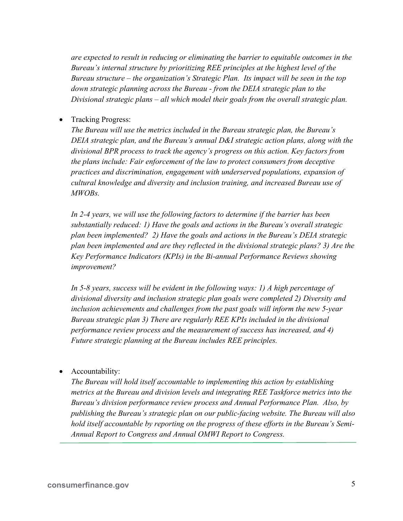*are expected to result in reducing or eliminating the barrier to equitable outcomes in the Bureau's internal structure by prioritizing REE principles at the highest level of the Bureau structure – the organization's Strategic Plan. Its impact will be seen in the top down strategic planning across the Bureau - from the DEIA strategic plan to the Divisional strategic plans – all which model their goals from the overall strategic plan.* 

• Tracking Progress:

*The Bureau will use the metrics included in the Bureau strategic plan, the Bureau's DEIA strategic plan, and the Bureau's annual D&I strategic action plans, along with the divisional BPR process to track the agency's progress on this action. Key factors from the plans include: Fair enforcement of the law to protect consumers from deceptive practices and discrimination, engagement with underserved populations, expansion of cultural knowledge and diversity and inclusion training, and increased Bureau use of MWOBs.*

*In 2-4 years, we will use the following factors to determine if the barrier has been substantially reduced: 1) Have the goals and actions in the Bureau's overall strategic plan been implemented? 2) Have the goals and actions in the Bureau's DEIA strategic plan been implemented and are they reflected in the divisional strategic plans? 3) Are the Key Performance Indicators (KPIs) in the Bi-annual Performance Reviews showing improvement?*

*In 5-8 years, success will be evident in the following ways: 1) A high percentage of divisional diversity and inclusion strategic plan goals were completed 2) Diversity and inclusion achievements and challenges from the past goals will inform the new 5-year Bureau strategic plan 3) There are regularly REE KPIs included in the divisional performance review process and the measurement of success has increased, and 4) Future strategic planning at the Bureau includes REE principles.* 

• Accountability:

*The Bureau will hold itself accountable to implementing this action by establishing metrics at the Bureau and division levels and integrating REE Taskforce metrics into the Bureau's division performance review process and Annual Performance Plan. Also, by publishing the Bureau's strategic plan on our public-facing website. The Bureau will also hold itself accountable by reporting on the progress of these efforts in the Bureau's Semi-Annual Report to Congress and Annual OMWI Report to Congress.*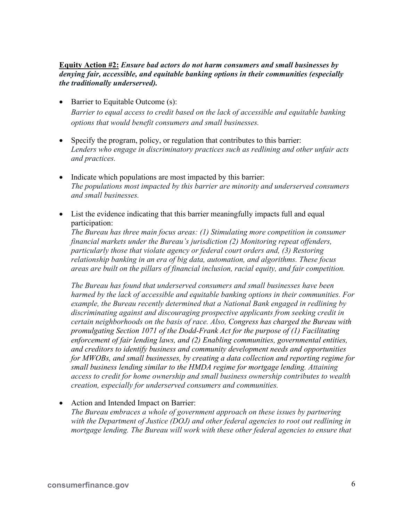#### **Equity Action #2:** *Ensure bad actors do not harm consumers and small businesses by denying fair, accessible, and equitable banking options in their communities (especially the traditionally underserved).*

- Barrier to Equitable Outcome (s): *Barrier to equal access to credit based on the lack of accessible and equitable banking options that would benefit consumers and small businesses.*
- Specify the program, policy, or regulation that contributes to this barrier: *Lenders who engage in discriminatory practices such as redlining and other unfair acts and practices.*
- Indicate which populations are most impacted by this barrier: *The populations most impacted by this barrier are minority and underserved consumers and small businesses.*
- List the evidence indicating that this barrier meaningfully impacts full and equal participation:

*The Bureau has three main focus areas: (1) Stimulating more competition in consumer financial markets under the Bureau's jurisdiction (2) Monitoring repeat offenders, particularly those that violate agency or federal court orders and, (3) Restoring relationship banking in an era of big data, automation, and algorithms. These focus areas are built on the pillars of financial inclusion, racial equity, and fair competition.* 

*The Bureau has found that underserved consumers and small businesses have been harmed by the lack of accessible and equitable banking options in their communities. For example, the Bureau recently determined that a National Bank engaged in redlining by discriminating against and discouraging prospective applicants from seeking credit in certain neighborhoods on the basis of race. Also, Congress has charged the Bureau with promulgating Section 1071 of the Dodd-Frank Act for the purpose of (1) Facilitating enforcement of fair lending laws, and (2) Enabling communities, governmental entities, and creditors to identify business and community development needs and opportunities for MWOBs, and small businesses, by creating a data collection and reporting regime for small business lending similar to the HMDA regime for mortgage lending. Attaining access to credit for home ownership and small business ownership contributes to wealth creation, especially for underserved consumers and communities.* 

• Action and Intended Impact on Barrier:

*The Bureau embraces a whole of government approach on these issues by partnering with the Department of Justice (DOJ) and other federal agencies to root out redlining in mortgage lending. The Bureau will work with these other federal agencies to ensure that*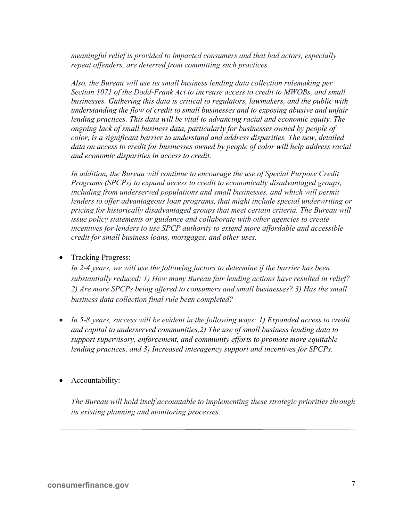*meaningful relief is provided to impacted consumers and that bad actors, especially repeat offenders, are deterred from committing such practices.* 

*Also, the Bureau will use its small business lending data collection rulemaking per Section 1071 of the Dodd-Frank Act to increase access to credit to MWOBs, and small businesses. Gathering this data is critical to regulators, lawmakers, and the public with understanding the flow of credit to small businesses and to exposing abusive and unfair lending practices. This data will be vital to advancing racial and economic equity. The ongoing lack of small business data, particularly for businesses owned by people of color, is a significant barrier to understand and address disparities. The new, detailed data on access to credit for businesses owned by people of color will help address racial and economic disparities in access to credit.* 

*In addition, the Bureau will continue to encourage the use of Special Purpose Credit Programs (SPCPs) to expand access to credit to economically disadvantaged groups,*  including from underserved populations and small businesses, and which will permit *lenders to offer advantageous loan programs, that might include special underwriting or pricing for historically disadvantaged groups that meet certain criteria. The Bureau will issue policy statements or guidance and collaborate with other agencies to create incentives for lenders to use SPCP authority to extend more affordable and accessible credit for small business loans, mortgages, and other uses.* 

• Tracking Progress:

*In 2-4 years, we will use the following factors to determine if the barrier has been substantially reduced: 1) How many Bureau fair lending actions have resulted in relief? 2) Are more SPCPs being offered to consumers and small businesses? 3) Has the small business data collection final rule been completed?* 

- *In 5-8 years, success will be evident in the following ways: 1) Expanded access to credit and capital to underserved communities,2) The use of small business lending data to support supervisory, enforcement, and community efforts to promote more equitable lending practices, and 3) Increased interagency support and incentives for SPCPs.*
- Accountability:

*The Bureau will hold itself accountable to implementing these strategic priorities through its existing planning and monitoring processes.*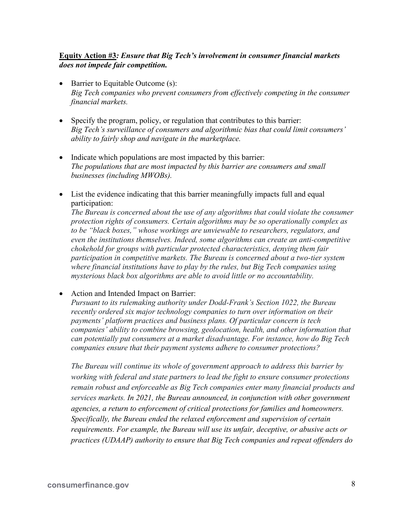## **Equity Action #3***: Ensure that Big Tech's involvement in consumer financial markets does not impede fair competition.*

- Barrier to Equitable Outcome (s): *Big Tech companies who prevent consumers from effectively competing in the consumer financial markets.*
- Specify the program, policy, or regulation that contributes to this barrier: *Big Tech's surveillance of consumers and algorithmic bias that could limit consumers' ability to fairly shop and navigate in the marketplace.*
- Indicate which populations are most impacted by this barrier: *The populations that are most impacted by this barrier are consumers and small businesses (including MWOBs).*
- List the evidence indicating that this barrier meaningfully impacts full and equal participation:

*The Bureau is concerned about the use of any algorithms that could violate the consumer protection rights of consumers. Certain algorithms may be so operationally complex as to be "black boxes," whose workings are unviewable to researchers, regulators, and even the institutions themselves. Indeed, some algorithms can create an anti-competitive chokehold for groups with particular protected characteristics, denying them fair participation in competitive markets. The Bureau is concerned about a two-tier system where financial institutions have to play by the rules, but Big Tech companies using mysterious black box algorithms are able to avoid little or no accountability.* 

• Action and Intended Impact on Barrier:

*Pursuant to its rulemaking authority under Dodd-Frank's Section 1022, the Bureau recently ordered six major technology companies to turn over information on their payments' platform practices and business plans. Of particular concern is tech companies' ability to combine browsing, geolocation, health, and other information that can potentially put consumers at a market disadvantage. For instance, how do Big Tech companies ensure that their payment systems adhere to consumer protections?* 

*The Bureau will continue its whole of government approach to address this barrier by working with federal and state partners to lead the fight to ensure consumer protections remain robust and enforceable as Big Tech companies enter many financial products and services markets. In 2021, the Bureau announced, in conjunction with other government agencies, a return to enforcement of critical protections for families and homeowners. Specifically, the Bureau ended the relaxed enforcement and supervision of certain requirements. For example, the Bureau will use its unfair, deceptive, or abusive acts or practices (UDAAP) authority to ensure that Big Tech companies and repeat offenders do*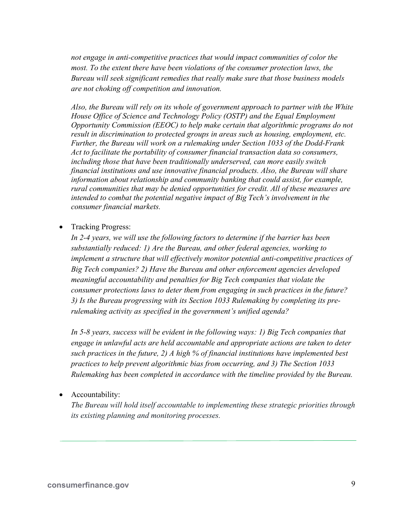*not engage in anti-competitive practices that would impact communities of color the most. To the extent there have been violations of the consumer protection laws, the Bureau will seek significant remedies that really make sure that those business models are not choking off competition and innovation.* 

*Also, the Bureau will rely on its whole of government approach to partner with the White House Office of Science and Technology Policy (OSTP) and the Equal Employment Opportunity Commission (EEOC) to help make certain that algorithmic programs do not*  result in discrimination to protected groups in areas such as housing, employment, etc. *Further, the Bureau will work on a rulemaking under Section 1033 of the Dodd-Frank Act to facilitate the portability of consumer financial transaction data so consumers, including those that have been traditionally underserved, can more easily switch financial institutions and use innovative financial products. Also, the Bureau will share information about relationship and community banking that could assist, for example, rural communities that may be denied opportunities for credit. All of these measures are intended to combat the potential negative impact of Big Tech's involvement in the consumer financial markets.* 

• Tracking Progress:

*In 2-4 years, we will use the following factors to determine if the barrier has been substantially reduced: 1) Are the Bureau, and other federal agencies, working to implement a structure that will effectively monitor potential anti-competitive practices of Big Tech companies? 2) Have the Bureau and other enforcement agencies developed meaningful accountability and penalties for Big Tech companies that violate the consumer protections laws to deter them from engaging in such practices in the future? 3) Is the Bureau progressing with its Section 1033 Rulemaking by completing its prerulemaking activity as specified in the government's unified agenda?* 

*In 5-8 years, success will be evident in the following ways: 1) Big Tech companies that engage in unlawful acts are held accountable and appropriate actions are taken to deter such practices in the future, 2) A high % of financial institutions have implemented best practices to help prevent algorithmic bias from occurring, and 3) The Section 1033 Rulemaking has been completed in accordance with the timeline provided by the Bureau.* 

• Accountability:

*The Bureau will hold itself accountable to implementing these strategic priorities through its existing planning and monitoring processes.*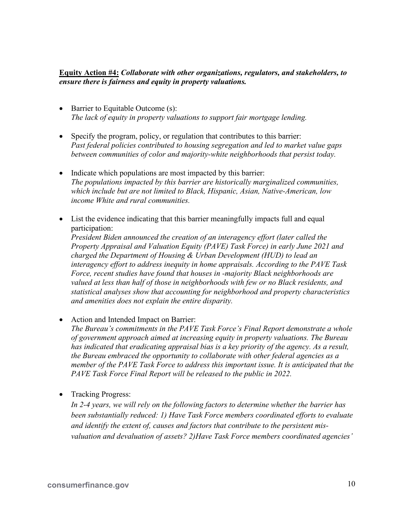#### **Equity Action #4:** *Collaborate with other organizations, regulators, and stakeholders, to ensure there is fairness and equity in property valuations.*

- Barrier to Equitable Outcome (s): *The lack of equity in property valuations to support fair mortgage lending.*
- Specify the program, policy, or regulation that contributes to this barrier: *Past federal policies contributed to housing segregation and led to market value gaps between communities of color and majority-white neighborhoods that persist today.*
- Indicate which populations are most impacted by this barrier: *The populations impacted by this barrier are historically marginalized communities, which include but are not limited to Black, Hispanic, Asian, Native-American, low income White and rural communities.*
- List the evidence indicating that this barrier meaningfully impacts full and equal participation:

*President Biden announced the creation of an interagency effort (later called the Property Appraisal and Valuation Equity (PAVE) Task Force) in early June 2021 and charged the Department of Housing & Urban Development (HUD) to lead an interagency effort to address inequity in home appraisals. According to the PAVE Task Force, recent studies have found that houses in -majority Black neighborhoods are valued at less than half of those in neighborhoods with few or no Black residents, and statistical analyses show that accounting for neighborhood and property characteristics and amenities does not explain the entire disparity.* 

• Action and Intended Impact on Barrier:

*The Bureau's commitments in the PAVE Task Force's Final Report demonstrate a whole of government approach aimed at increasing equity in property valuations. The Bureau has indicated that eradicating appraisal bias is a key priority of the agency. As a result, the Bureau embraced the opportunity to collaborate with other federal agencies as a member of the PAVE Task Force to address this important issue. It is anticipated that the PAVE Task Force Final Report will be released to the public in 2022.* 

• Tracking Progress:

*In 2-4 years, we will rely on the following factors to determine whether the barrier has been substantially reduced: 1) Have Task Force members coordinated efforts to evaluate and identify the extent of, causes and factors that contribute to the persistent misvaluation and devaluation of assets? 2)Have Task Force members coordinated agencies'*